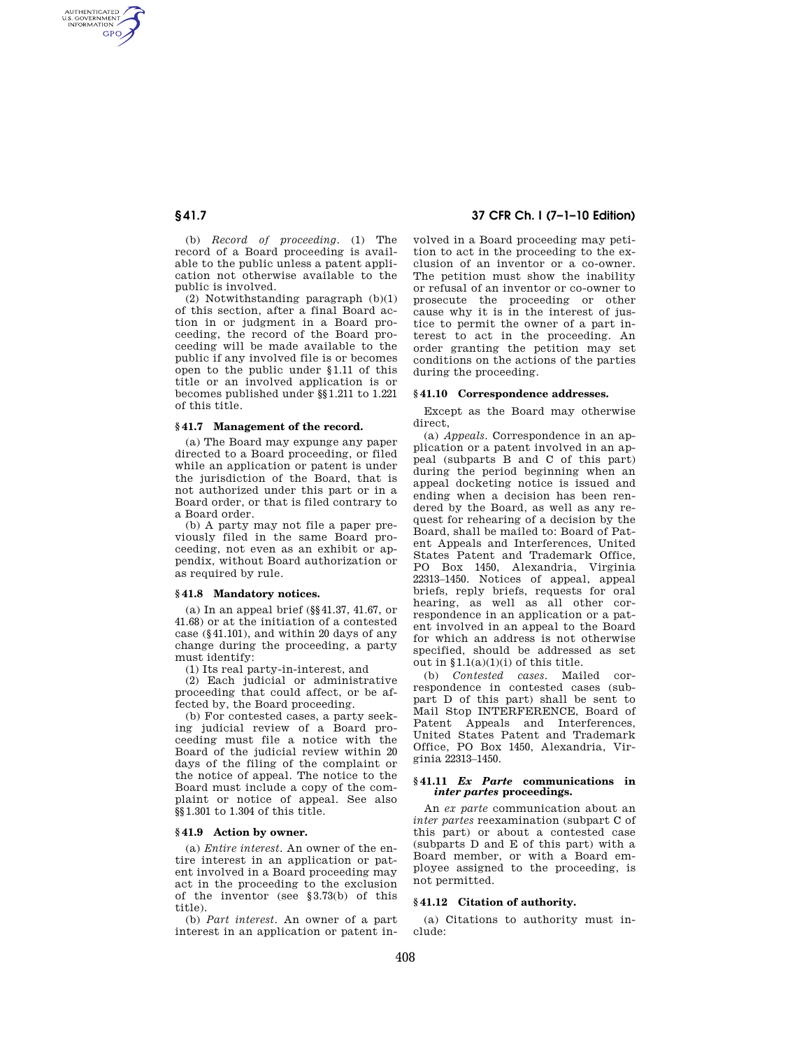AUTHENTICATED<br>U.S. GOVERNMENT<br>INFORMATION **GPO** 

> (b) *Record of proceeding*. (1) The record of a Board proceeding is available to the public unless a patent application not otherwise available to the public is involved.

> (2) Notwithstanding paragraph (b)(1) of this section, after a final Board action in or judgment in a Board proceeding, the record of the Board proceeding will be made available to the public if any involved file is or becomes open to the public under §1.11 of this title or an involved application is or becomes published under §§1.211 to 1.221 of this title.

#### **§ 41.7 Management of the record.**

(a) The Board may expunge any paper directed to a Board proceeding, or filed while an application or patent is under the jurisdiction of the Board, that is not authorized under this part or in a Board order, or that is filed contrary to a Board order.

(b) A party may not file a paper previously filed in the same Board proceeding, not even as an exhibit or appendix, without Board authorization or as required by rule.

#### **§ 41.8 Mandatory notices.**

(a) In an appeal brief (§§41.37, 41.67, or 41.68) or at the initiation of a contested case (§41.101), and within 20 days of any change during the proceeding, a party must identify:

(1) Its real party-in-interest, and

(2) Each judicial or administrative proceeding that could affect, or be affected by, the Board proceeding.

(b) For contested cases, a party seeking judicial review of a Board proceeding must file a notice with the Board of the judicial review within 20 days of the filing of the complaint or the notice of appeal. The notice to the Board must include a copy of the complaint or notice of appeal. See also §§1.301 to 1.304 of this title.

#### **§ 41.9 Action by owner.**

(a) *Entire interest*. An owner of the entire interest in an application or patent involved in a Board proceeding may act in the proceeding to the exclusion of the inventor (see §3.73(b) of this title).

(b) *Part interest*. An owner of a part interest in an application or patent in-

# **§ 41.7 37 CFR Ch. I (7–1–10 Edition)**

volved in a Board proceeding may petition to act in the proceeding to the exclusion of an inventor or a co-owner. The petition must show the inability or refusal of an inventor or co-owner to prosecute the proceeding or other cause why it is in the interest of justice to permit the owner of a part interest to act in the proceeding. An order granting the petition may set conditions on the actions of the parties during the proceeding.

## **§ 41.10 Correspondence addresses.**

Except as the Board may otherwise direct,

(a) *Appeals*. Correspondence in an application or a patent involved in an appeal (subparts B and C of this part) during the period beginning when an appeal docketing notice is issued and ending when a decision has been rendered by the Board, as well as any request for rehearing of a decision by the Board, shall be mailed to: Board of Patent Appeals and Interferences, United States Patent and Trademark Office, PO Box 1450, Alexandria, Virginia 22313–1450. Notices of appeal, appeal briefs, reply briefs, requests for oral hearing, as well as all other correspondence in an application or a patent involved in an appeal to the Board for which an address is not otherwise specified, should be addressed as set out in  $\S1.1(a)(1)(i)$  of this title.

(b) *Contested cases*. Mailed correspondence in contested cases (subpart D of this part) shall be sent to Mail Stop INTERFERENCE, Board of Patent Appeals and Interferences, United States Patent and Trademark Office, PO Box 1450, Alexandria, Virginia 22313–1450.

# **§ 41.11** *Ex Parte* **communications in**  *inter partes* **proceedings.**

An *ex parte* communication about an *inter partes* reexamination (subpart C of this part) or about a contested case (subparts D and E of this part) with a Board member, or with a Board employee assigned to the proceeding, is not permitted.

# **§ 41.12 Citation of authority.**

(a) Citations to authority must include: